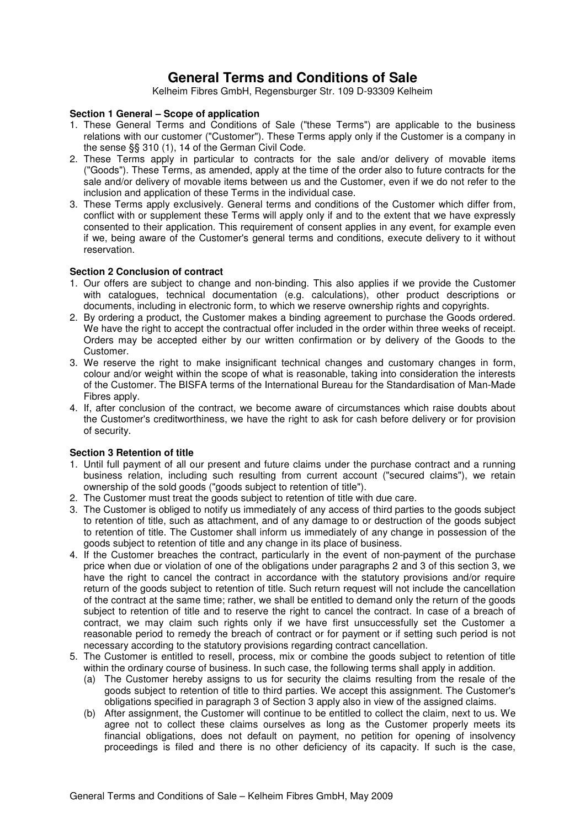# **General Terms and Conditions of Sale**

Kelheim Fibres GmbH, Regensburger Str. 109 D-93309 Kelheim

## **Section 1 General – Scope of application**

- 1. These General Terms and Conditions of Sale ("these Terms") are applicable to the business relations with our customer ("Customer"). These Terms apply only if the Customer is a company in the sense §§ 310 (1), 14 of the German Civil Code.
- 2. These Terms apply in particular to contracts for the sale and/or delivery of movable items ("Goods"). These Terms, as amended, apply at the time of the order also to future contracts for the sale and/or delivery of movable items between us and the Customer, even if we do not refer to the inclusion and application of these Terms in the individual case.
- 3. These Terms apply exclusively. General terms and conditions of the Customer which differ from, conflict with or supplement these Terms will apply only if and to the extent that we have expressly consented to their application. This requirement of consent applies in any event, for example even if we, being aware of the Customer's general terms and conditions, execute delivery to it without reservation.

## **Section 2 Conclusion of contract**

- 1. Our offers are subject to change and non-binding. This also applies if we provide the Customer with catalogues, technical documentation (e.g. calculations), other product descriptions or documents, including in electronic form, to which we reserve ownership rights and copyrights.
- 2. By ordering a product, the Customer makes a binding agreement to purchase the Goods ordered. We have the right to accept the contractual offer included in the order within three weeks of receipt. Orders may be accepted either by our written confirmation or by delivery of the Goods to the Customer.
- 3. We reserve the right to make insignificant technical changes and customary changes in form, colour and/or weight within the scope of what is reasonable, taking into consideration the interests of the Customer. The BISFA terms of the International Bureau for the Standardisation of Man-Made Fibres apply.
- 4. If, after conclusion of the contract, we become aware of circumstances which raise doubts about the Customer's creditworthiness, we have the right to ask for cash before delivery or for provision of security.

## **Section 3 Retention of title**

- 1. Until full payment of all our present and future claims under the purchase contract and a running business relation, including such resulting from current account ("secured claims"), we retain ownership of the sold goods ("goods subject to retention of title").
- 2. The Customer must treat the goods subject to retention of title with due care.
- 3. The Customer is obliged to notify us immediately of any access of third parties to the goods subject to retention of title, such as attachment, and of any damage to or destruction of the goods subject to retention of title. The Customer shall inform us immediately of any change in possession of the goods subject to retention of title and any change in its place of business.
- 4. If the Customer breaches the contract, particularly in the event of non-payment of the purchase price when due or violation of one of the obligations under paragraphs 2 and 3 of this section 3, we have the right to cancel the contract in accordance with the statutory provisions and/or require return of the goods subject to retention of title. Such return request will not include the cancellation of the contract at the same time; rather, we shall be entitled to demand only the return of the goods subject to retention of title and to reserve the right to cancel the contract. In case of a breach of contract, we may claim such rights only if we have first unsuccessfully set the Customer a reasonable period to remedy the breach of contract or for payment or if setting such period is not necessary according to the statutory provisions regarding contract cancellation.
- 5. The Customer is entitled to resell, process, mix or combine the goods subject to retention of title within the ordinary course of business. In such case, the following terms shall apply in addition.
	- (a) The Customer hereby assigns to us for security the claims resulting from the resale of the goods subject to retention of title to third parties. We accept this assignment. The Customer's obligations specified in paragraph 3 of Section 3 apply also in view of the assigned claims.
	- (b) After assignment, the Customer will continue to be entitled to collect the claim, next to us. We agree not to collect these claims ourselves as long as the Customer properly meets its financial obligations, does not default on payment, no petition for opening of insolvency proceedings is filed and there is no other deficiency of its capacity. If such is the case,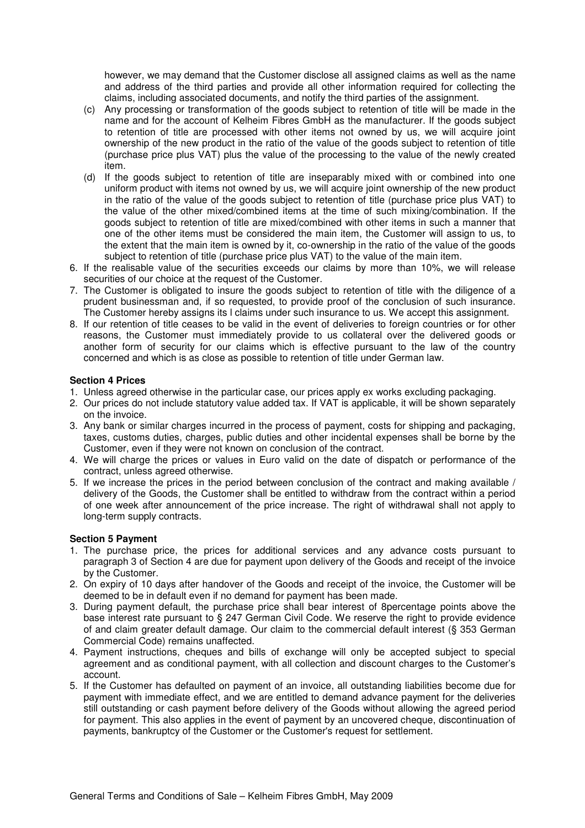however, we may demand that the Customer disclose all assigned claims as well as the name and address of the third parties and provide all other information required for collecting the claims, including associated documents, and notify the third parties of the assignment.

- (c) Any processing or transformation of the goods subject to retention of title will be made in the name and for the account of Kelheim Fibres GmbH as the manufacturer. If the goods subject to retention of title are processed with other items not owned by us, we will acquire joint ownership of the new product in the ratio of the value of the goods subject to retention of title (purchase price plus VAT) plus the value of the processing to the value of the newly created item.
- (d) If the goods subject to retention of title are inseparably mixed with or combined into one uniform product with items not owned by us, we will acquire joint ownership of the new product in the ratio of the value of the goods subject to retention of title (purchase price plus VAT) to the value of the other mixed/combined items at the time of such mixing/combination. If the goods subject to retention of title are mixed/combined with other items in such a manner that one of the other items must be considered the main item, the Customer will assign to us, to the extent that the main item is owned by it, co-ownership in the ratio of the value of the goods subject to retention of title (purchase price plus VAT) to the value of the main item.
- 6. If the realisable value of the securities exceeds our claims by more than 10%, we will release securities of our choice at the request of the Customer.
- 7. The Customer is obligated to insure the goods subject to retention of title with the diligence of a prudent businessman and, if so requested, to provide proof of the conclusion of such insurance. The Customer hereby assigns its l claims under such insurance to us. We accept this assignment.
- 8. If our retention of title ceases to be valid in the event of deliveries to foreign countries or for other reasons, the Customer must immediately provide to us collateral over the delivered goods or another form of security for our claims which is effective pursuant to the law of the country concerned and which is as close as possible to retention of title under German law.

#### **Section 4 Prices**

- 1. Unless agreed otherwise in the particular case, our prices apply ex works excluding packaging.
- 2. Our prices do not include statutory value added tax. If VAT is applicable, it will be shown separately on the invoice.
- 3. Any bank or similar charges incurred in the process of payment, costs for shipping and packaging, taxes, customs duties, charges, public duties and other incidental expenses shall be borne by the Customer, even if they were not known on conclusion of the contract.
- 4. We will charge the prices or values in Euro valid on the date of dispatch or performance of the contract, unless agreed otherwise.
- 5. If we increase the prices in the period between conclusion of the contract and making available / delivery of the Goods, the Customer shall be entitled to withdraw from the contract within a period of one week after announcement of the price increase. The right of withdrawal shall not apply to long-term supply contracts.

## **Section 5 Payment**

- 1. The purchase price, the prices for additional services and any advance costs pursuant to paragraph 3 of Section 4 are due for payment upon delivery of the Goods and receipt of the invoice by the Customer.
- 2. On expiry of 10 days after handover of the Goods and receipt of the invoice, the Customer will be deemed to be in default even if no demand for payment has been made.
- 3. During payment default, the purchase price shall bear interest of 8percentage points above the base interest rate pursuant to § 247 German Civil Code. We reserve the right to provide evidence of and claim greater default damage. Our claim to the commercial default interest (§ 353 German Commercial Code) remains unaffected.
- 4. Payment instructions, cheques and bills of exchange will only be accepted subject to special agreement and as conditional payment, with all collection and discount charges to the Customer's account.
- 5. If the Customer has defaulted on payment of an invoice, all outstanding liabilities become due for payment with immediate effect, and we are entitled to demand advance payment for the deliveries still outstanding or cash payment before delivery of the Goods without allowing the agreed period for payment. This also applies in the event of payment by an uncovered cheque, discontinuation of payments, bankruptcy of the Customer or the Customer's request for settlement.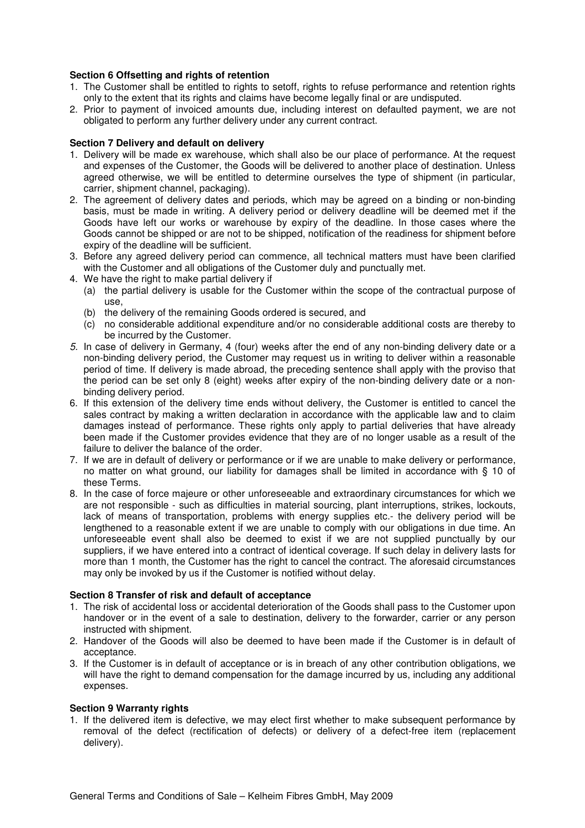### **Section 6 Offsetting and rights of retention**

- 1. The Customer shall be entitled to rights to setoff, rights to refuse performance and retention rights only to the extent that its rights and claims have become legally final or are undisputed.
- 2. Prior to payment of invoiced amounts due, including interest on defaulted payment, we are not obligated to perform any further delivery under any current contract.

#### **Section 7 Delivery and default on delivery**

- 1. Delivery will be made ex warehouse, which shall also be our place of performance. At the request and expenses of the Customer, the Goods will be delivered to another place of destination. Unless agreed otherwise, we will be entitled to determine ourselves the type of shipment (in particular, carrier, shipment channel, packaging).
- 2. The agreement of delivery dates and periods, which may be agreed on a binding or non-binding basis, must be made in writing. A delivery period or delivery deadline will be deemed met if the Goods have left our works or warehouse by expiry of the deadline. In those cases where the Goods cannot be shipped or are not to be shipped, notification of the readiness for shipment before expiry of the deadline will be sufficient.
- 3. Before any agreed delivery period can commence, all technical matters must have been clarified with the Customer and all obligations of the Customer duly and punctually met.
- 4. We have the right to make partial delivery if
	- (a) the partial delivery is usable for the Customer within the scope of the contractual purpose of use,
	- (b) the delivery of the remaining Goods ordered is secured, and
	- (c) no considerable additional expenditure and/or no considerable additional costs are thereby to be incurred by the Customer.
- 5. In case of delivery in Germany, 4 (four) weeks after the end of any non-binding delivery date or a non-binding delivery period, the Customer may request us in writing to deliver within a reasonable period of time. If delivery is made abroad, the preceding sentence shall apply with the proviso that the period can be set only 8 (eight) weeks after expiry of the non-binding delivery date or a nonbinding delivery period.
- 6. If this extension of the delivery time ends without delivery, the Customer is entitled to cancel the sales contract by making a written declaration in accordance with the applicable law and to claim damages instead of performance. These rights only apply to partial deliveries that have already been made if the Customer provides evidence that they are of no longer usable as a result of the failure to deliver the balance of the order.
- 7. If we are in default of delivery or performance or if we are unable to make delivery or performance, no matter on what ground, our liability for damages shall be limited in accordance with § 10 of these Terms.
- 8. In the case of force majeure or other unforeseeable and extraordinary circumstances for which we are not responsible - such as difficulties in material sourcing, plant interruptions, strikes, lockouts, lack of means of transportation, problems with energy supplies etc.- the delivery period will be lengthened to a reasonable extent if we are unable to comply with our obligations in due time. An unforeseeable event shall also be deemed to exist if we are not supplied punctually by our suppliers, if we have entered into a contract of identical coverage. If such delay in delivery lasts for more than 1 month, the Customer has the right to cancel the contract. The aforesaid circumstances may only be invoked by us if the Customer is notified without delay.

## **Section 8 Transfer of risk and default of acceptance**

- 1. The risk of accidental loss or accidental deterioration of the Goods shall pass to the Customer upon handover or in the event of a sale to destination, delivery to the forwarder, carrier or any person instructed with shipment.
- 2. Handover of the Goods will also be deemed to have been made if the Customer is in default of acceptance.
- 3. If the Customer is in default of acceptance or is in breach of any other contribution obligations, we will have the right to demand compensation for the damage incurred by us, including any additional expenses.

#### **Section 9 Warranty rights**

1. If the delivered item is defective, we may elect first whether to make subsequent performance by removal of the defect (rectification of defects) or delivery of a defect-free item (replacement delivery).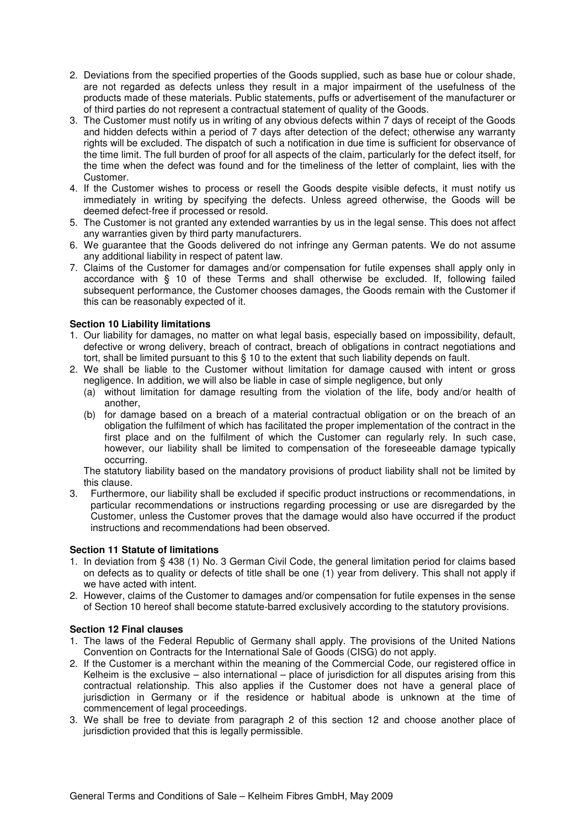- 2. Deviations from the specified properties of the Goods supplied, such as base hue or colour shade, are not regarded as defects unless they result in a major impairment of the usefulness of the products made of these materials. Public statements, puffs or advertisement of the manufacturer or of third parties do not represent a contractual statement of quality of the Goods.
- 3. The Customer must notify us in writing of any obvious defects within 7 days of receipt of the Goods and hidden defects within a period of 7 days after detection of the defect; otherwise any warranty rights will be excluded. The dispatch of such a notification in due time is sufficient for observance of the time limit. The full burden of proof for all aspects of the claim, particularly for the defect itself, for the time when the defect was found and for the timeliness of the letter of complaint, lies with the Customer.
- 4. If the Customer wishes to process or resell the Goods despite visible defects, it must notify us immediately in writing by specifying the defects. Unless agreed otherwise, the Goods will be deemed defect-free if processed or resold.
- 5. The Customer is not granted any extended warranties by us in the legal sense. This does not affect any warranties given by third party manufacturers.
- 6. We guarantee that the Goods delivered do not infringe any German patents. We do not assume any additional liability in respect of patent law.
- 7. Claims of the Customer for damages and/or compensation for futile expenses shall apply only in accordance with § 10 of these Terms and shall otherwise be excluded. If, following failed subsequent performance, the Customer chooses damages, the Goods remain with the Customer if this can be reasonably expected of it.

## **Section 10 Liability limitations**

- 1. Our liability for damages, no matter on what legal basis, especially based on impossibility, default, defective or wrong delivery, breach of contract, breach of obligations in contract negotiations and tort, shall be limited pursuant to this § 10 to the extent that such liability depends on fault.
- 2. We shall be liable to the Customer without limitation for damage caused with intent or gross negligence. In addition, we will also be liable in case of simple negligence, but only
	- (a) without limitation for damage resulting from the violation of the life, body and/or health of another,
	- (b) for damage based on a breach of a material contractual obligation or on the breach of an obligation the fulfilment of which has facilitated the proper implementation of the contract in the first place and on the fulfilment of which the Customer can regularly rely. In such case, however, our liability shall be limited to compensation of the foreseeable damage typically occurring.

The statutory liability based on the mandatory provisions of product liability shall not be limited by this clause.

3. Furthermore, our liability shall be excluded if specific product instructions or recommendations, in particular recommendations or instructions regarding processing or use are disregarded by the Customer, unless the Customer proves that the damage would also have occurred if the product instructions and recommendations had been observed.

## **Section 11 Statute of limitations**

- 1. In deviation from § 438 (1) No. 3 German Civil Code, the general limitation period for claims based on defects as to quality or defects of title shall be one (1) year from delivery. This shall not apply if we have acted with intent.
- 2. However, claims of the Customer to damages and/or compensation for futile expenses in the sense of Section 10 hereof shall become statute-barred exclusively according to the statutory provisions.

## **Section 12 Final clauses**

- 1. The laws of the Federal Republic of Germany shall apply. The provisions of the United Nations Convention on Contracts for the International Sale of Goods (CISG) do not apply.
- 2. If the Customer is a merchant within the meaning of the Commercial Code, our registered office in Kelheim is the exclusive – also international – place of jurisdiction for all disputes arising from this contractual relationship. This also applies if the Customer does not have a general place of jurisdiction in Germany or if the residence or habitual abode is unknown at the time of commencement of legal proceedings.
- 3. We shall be free to deviate from paragraph 2 of this section 12 and choose another place of jurisdiction provided that this is legally permissible.